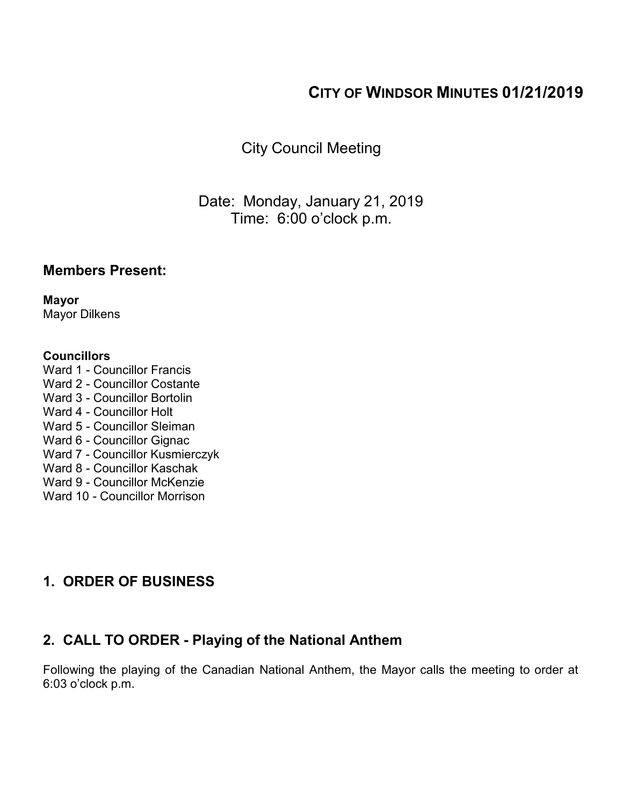# **CITY OF WINDSOR MINUTES 01/21/2019**

City Council Meeting

Date: Monday, January 21, 2019 Time: 6:00 o'clock p.m.

### **Members Present:**

**Mayor** Mayor Dilkens

#### **Councillors**

- Ward 1 Councillor Francis Ward 2 - Councillor Costante Ward 3 - Councillor Bortolin Ward 4 - Councillor Holt Ward 5 - Councillor Sleiman Ward 6 - Councillor Gignac Ward 7 - Councillor Kusmierczyk Ward 8 - Councillor Kaschak Ward 9 - Councillor McKenzie
- Ward 10 Councillor Morrison

### **1. ORDER OF BUSINESS**

# **2. CALL TO ORDER - Playing of the National Anthem**

Following the playing of the Canadian National Anthem, the Mayor calls the meeting to order at 6:03 o'clock p.m.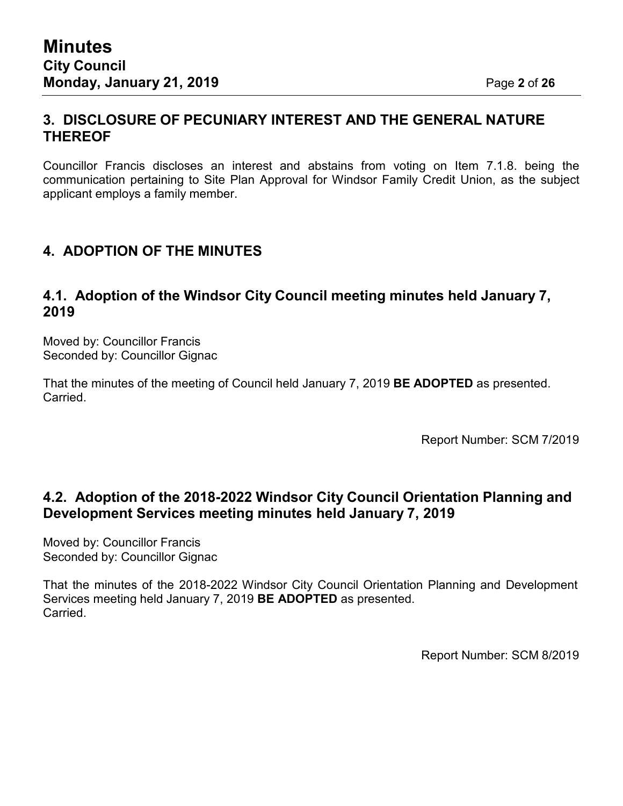### **3. DISCLOSURE OF PECUNIARY INTEREST AND THE GENERAL NATURE THEREOF**

Councillor Francis discloses an interest and abstains from voting on Item 7.1.8. being the communication pertaining to Site Plan Approval for Windsor Family Credit Union, as the subject applicant employs a family member.

### **4. ADOPTION OF THE MINUTES**

### **4.1. Adoption of the Windsor City Council meeting minutes held January 7, 2019**

Moved by: Councillor Francis Seconded by: Councillor Gignac

That the minutes of the meeting of Council held January 7, 2019 **BE ADOPTED** as presented. Carried.

Report Number: SCM 7/2019

### **4.2. Adoption of the 2018-2022 Windsor City Council Orientation Planning and Development Services meeting minutes held January 7, 2019**

Moved by: Councillor Francis Seconded by: Councillor Gignac

That the minutes of the 2018-2022 Windsor City Council Orientation Planning and Development Services meeting held January 7, 2019 **BE ADOPTED** as presented. Carried.

Report Number: SCM 8/2019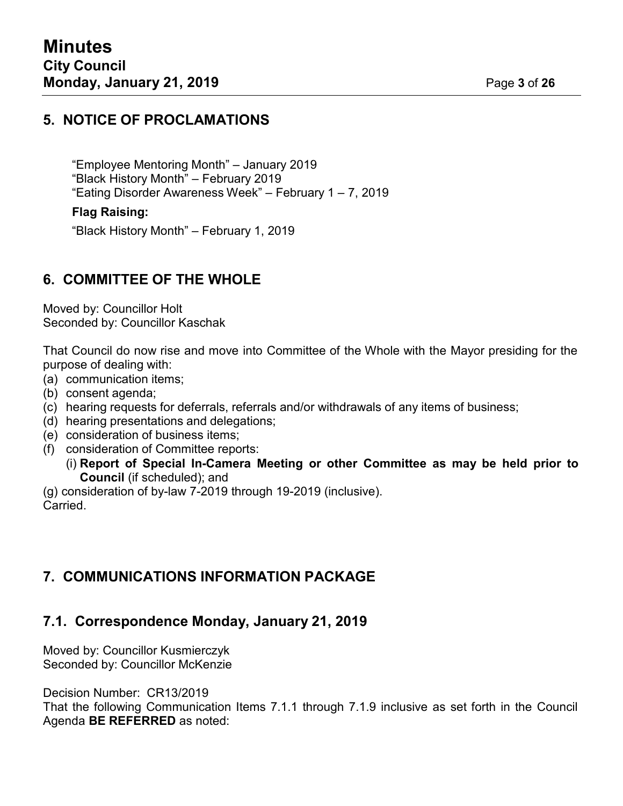### **5. NOTICE OF PROCLAMATIONS**

"Employee Mentoring Month" – January 2019 "Black History Month" – February 2019 "Eating Disorder Awareness Week" – February 1 – 7, 2019

#### **Flag Raising:**

"Black History Month" – February 1, 2019

### **6. COMMITTEE OF THE WHOLE**

Moved by: Councillor Holt Seconded by: Councillor Kaschak

That Council do now rise and move into Committee of the Whole with the Mayor presiding for the purpose of dealing with:

- (a) communication items;
- (b) consent agenda;
- (c) hearing requests for deferrals, referrals and/or withdrawals of any items of business;
- (d) hearing presentations and delegations;
- (e) consideration of business items;
- (f) consideration of Committee reports:
	- (i) **Report of Special In-Camera Meeting or other Committee as may be held prior to Council** (if scheduled); and

(g) consideration of by-law 7-2019 through 19-2019 (inclusive). Carried.

### **7. COMMUNICATIONS INFORMATION PACKAGE**

# **7.1. Correspondence Monday, January 21, 2019**

Moved by: Councillor Kusmierczyk Seconded by: Councillor McKenzie

Decision Number: CR13/2019

That the following Communication Items 7.1.1 through 7.1.9 inclusive as set forth in the Council Agenda **BE REFERRED** as noted: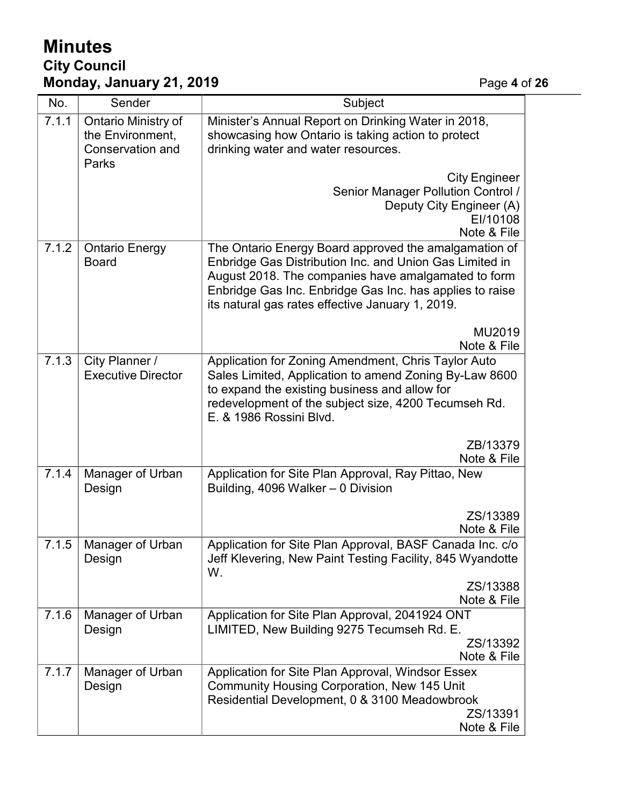# **Minutes City Council Monday, January 21, 2019** Page **4** of **26**

| No.   | Sender                                                                      | Subject                                                                                                                                                                                                                                                                                 |  |
|-------|-----------------------------------------------------------------------------|-----------------------------------------------------------------------------------------------------------------------------------------------------------------------------------------------------------------------------------------------------------------------------------------|--|
| 7.1.1 | Ontario Ministry of<br>the Environment,<br><b>Conservation and</b><br>Parks | Minister's Annual Report on Drinking Water in 2018,<br>showcasing how Ontario is taking action to protect<br>drinking water and water resources.                                                                                                                                        |  |
|       |                                                                             | <b>City Engineer</b><br>Senior Manager Pollution Control /<br>Deputy City Engineer (A)<br>EI/10108<br>Note & File                                                                                                                                                                       |  |
| 7.1.2 | <b>Ontario Energy</b><br><b>Board</b>                                       | The Ontario Energy Board approved the amalgamation of<br>Enbridge Gas Distribution Inc. and Union Gas Limited in<br>August 2018. The companies have amalgamated to form<br>Enbridge Gas Inc. Enbridge Gas Inc. has applies to raise<br>its natural gas rates effective January 1, 2019. |  |
|       |                                                                             | MU2019<br>Note & File                                                                                                                                                                                                                                                                   |  |
| 7.1.3 | City Planner /<br><b>Executive Director</b>                                 | Application for Zoning Amendment, Chris Taylor Auto<br>Sales Limited, Application to amend Zoning By-Law 8600<br>to expand the existing business and allow for<br>redevelopment of the subject size, 4200 Tecumseh Rd.<br>E. & 1986 Rossini Blvd.                                       |  |
|       |                                                                             | ZB/13379<br>Note & File                                                                                                                                                                                                                                                                 |  |
| 7.1.4 | Manager of Urban<br>Design                                                  | Application for Site Plan Approval, Ray Pittao, New<br>Building, 4096 Walker - 0 Division                                                                                                                                                                                               |  |
|       |                                                                             | ZS/13389<br>Note & File                                                                                                                                                                                                                                                                 |  |
| 7.1.5 | Manager of Urban<br>Design                                                  | Application for Site Plan Approval, BASF Canada Inc. c/o<br>Jeff Klevering, New Paint Testing Facility, 845 Wyandotte<br>W.<br>ZS/13388                                                                                                                                                 |  |
|       |                                                                             | Note & File                                                                                                                                                                                                                                                                             |  |
| 7.1.6 | Manager of Urban<br>Design                                                  | Application for Site Plan Approval, 2041924 ONT<br>LIMITED, New Building 9275 Tecumseh Rd. E.<br>ZS/13392<br>Note & File                                                                                                                                                                |  |
| 7.1.7 | Manager of Urban<br>Design                                                  | Application for Site Plan Approval, Windsor Essex<br><b>Community Housing Corporation, New 145 Unit</b><br>Residential Development, 0 & 3100 Meadowbrook<br>ZS/13391<br>Note & File                                                                                                     |  |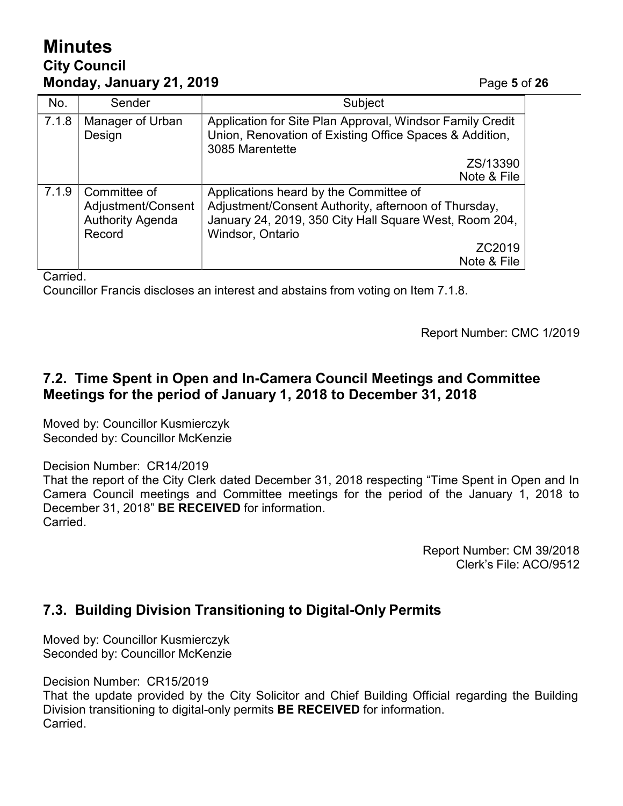# **Minutes City Council Monday, January 21, 2019** Page **5** of **26**

| No.   | Sender                                                                  | Subject                                                                                                                                                                      |
|-------|-------------------------------------------------------------------------|------------------------------------------------------------------------------------------------------------------------------------------------------------------------------|
| 7.1.8 | Manager of Urban<br>Design                                              | Application for Site Plan Approval, Windsor Family Credit<br>Union, Renovation of Existing Office Spaces & Addition,<br>3085 Marentette                                      |
|       |                                                                         | ZS/13390                                                                                                                                                                     |
|       |                                                                         | Note & File                                                                                                                                                                  |
| 7.1.9 | Committee of<br>Adjustment/Consent<br><b>Authority Agenda</b><br>Record | Applications heard by the Committee of<br>Adjustment/Consent Authority, afternoon of Thursday,<br>January 24, 2019, 350 City Hall Square West, Room 204,<br>Windsor, Ontario |
|       |                                                                         | ZC2019<br>Note & File                                                                                                                                                        |

Carried.

Councillor Francis discloses an interest and abstains from voting on Item 7.1.8.

Report Number: CMC 1/2019

### **7.2. Time Spent in Open and In-Camera Council Meetings and Committee Meetings for the period of January 1, 2018 to December 31, 2018**

Moved by: Councillor Kusmierczyk Seconded by: Councillor McKenzie

Decision Number: CR14/2019

That the report of the City Clerk dated December 31, 2018 respecting "Time Spent in Open and In Camera Council meetings and Committee meetings for the period of the January 1, 2018 to December 31, 2018" **BE RECEIVED** for information. Carried.

> Report Number: CM 39/2018 Clerk's File: ACO/9512

### **7.3. Building Division Transitioning to Digital-Only Permits**

Moved by: Councillor Kusmierczyk Seconded by: Councillor McKenzie

Decision Number: CR15/2019

That the update provided by the City Solicitor and Chief Building Official regarding the Building Division transitioning to digital-only permits **BE RECEIVED** for information. Carried.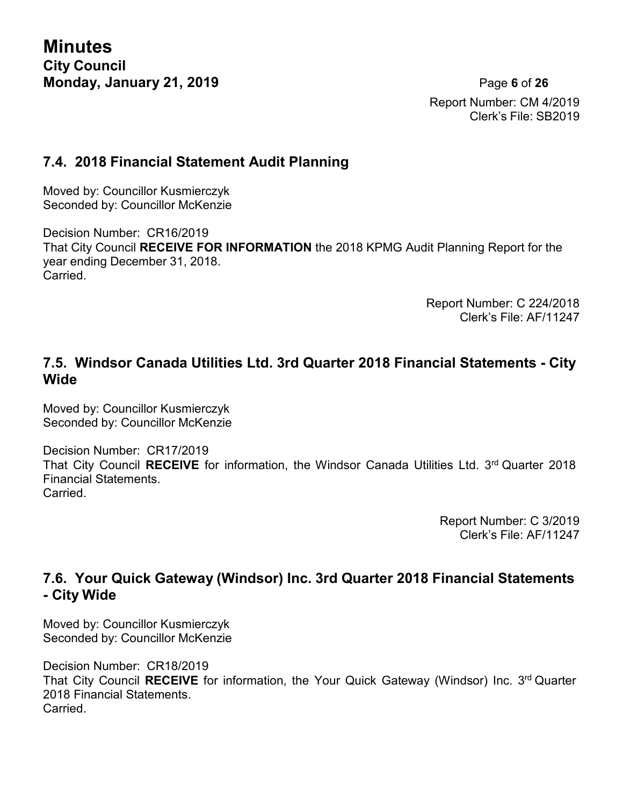**Minutes City Council Monday, January 21, 2019** Page **6** of **26**

Report Number: CM 4/2019 Clerk's File: SB2019

### **7.4. 2018 Financial Statement Audit Planning**

Moved by: Councillor Kusmierczyk Seconded by: Councillor McKenzie

Decision Number: CR16/2019 That City Council **RECEIVE FOR INFORMATION** the 2018 KPMG Audit Planning Report for the year ending December 31, 2018. **Carried** 

> Report Number: C 224/2018 Clerk's File: AF/11247

### **7.5. Windsor Canada Utilities Ltd. 3rd Quarter 2018 Financial Statements - City Wide**

Moved by: Councillor Kusmierczyk Seconded by: Councillor McKenzie

Decision Number: CR17/2019 That City Council RECEIVE for information, the Windsor Canada Utilities Ltd. 3<sup>rd</sup> Quarter 2018 Financial Statements. Carried.

> Report Number: C 3/2019 Clerk's File: AF/11247

### **7.6. Your Quick Gateway (Windsor) Inc. 3rd Quarter 2018 Financial Statements - City Wide**

Moved by: Councillor Kusmierczyk Seconded by: Councillor McKenzie

Decision Number: CR18/2019 That City Council RECEIVE for information, the Your Quick Gateway (Windsor) Inc. 3<sup>rd</sup> Quarter 2018 Financial Statements. Carried.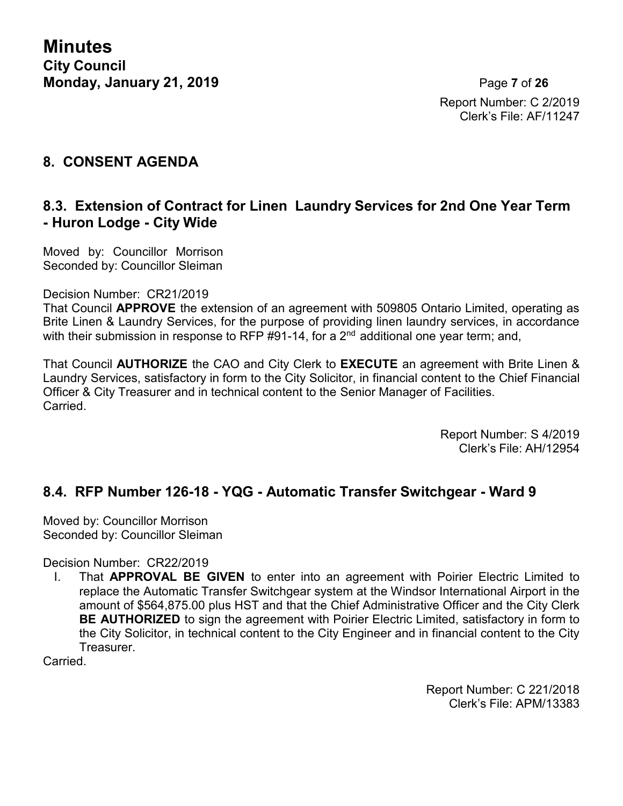**Minutes City Council Monday, January 21, 2019** Page **7** of **26**

Report Number: C 2/2019 Clerk's File: AF/11247

### **8. CONSENT AGENDA**

### **8.3. Extension of Contract for Linen Laundry Services for 2nd One Year Term - Huron Lodge - City Wide**

Moved by: Councillor Morrison Seconded by: Councillor Sleiman

#### Decision Number: CR21/2019

That Council **APPROVE** the extension of an agreement with 509805 Ontario Limited, operating as Brite Linen & Laundry Services, for the purpose of providing linen laundry services, in accordance with their submission in response to RFP #91-14, for a 2<sup>nd</sup> additional one year term; and,

That Council **AUTHORIZE** the CAO and City Clerk to **EXECUTE** an agreement with Brite Linen & Laundry Services, satisfactory in form to the City Solicitor, in financial content to the Chief Financial Officer & City Treasurer and in technical content to the Senior Manager of Facilities. Carried.

> Report Number: S 4/2019 Clerk's File: AH/12954

### **8.4. RFP Number 126-18 - YQG - Automatic Transfer Switchgear - Ward 9**

Moved by: Councillor Morrison Seconded by: Councillor Sleiman

Decision Number: CR22/2019

I. That **APPROVAL BE GIVEN** to enter into an agreement with Poirier Electric Limited to replace the Automatic Transfer Switchgear system at the Windsor International Airport in the amount of \$564,875.00 plus HST and that the Chief Administrative Officer and the City Clerk **BE AUTHORIZED** to sign the agreement with Poirier Electric Limited, satisfactory in form to the City Solicitor, in technical content to the City Engineer and in financial content to the City Treasurer.

Carried.

Report Number: C 221/2018 Clerk's File: APM/13383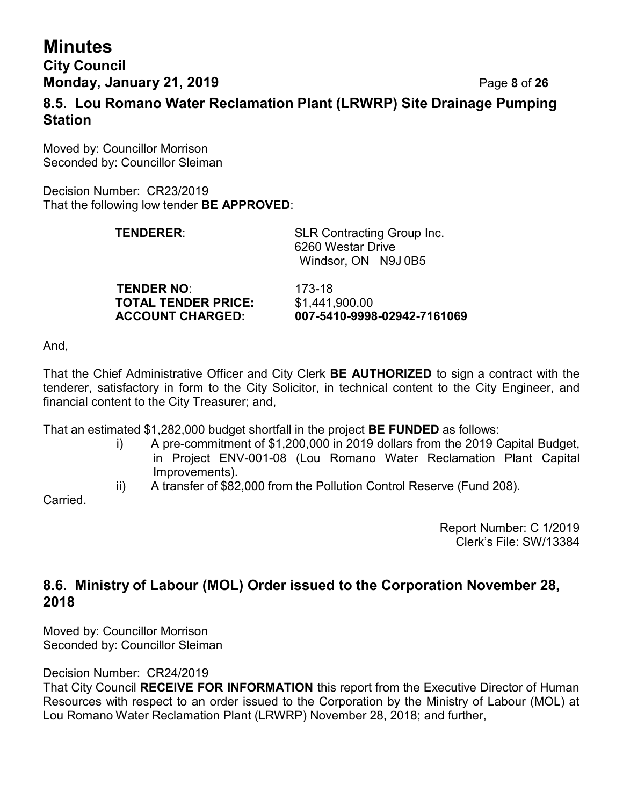# **Minutes**

**City Council Monday, January 21, 2019** Page **8** of **26**

**8.5. Lou Romano Water Reclamation Plant (LRWRP) Site Drainage Pumping Station**

Moved by: Councillor Morrison Seconded by: Councillor Sleiman

Decision Number: CR23/2019 That the following low tender **BE APPROVED**:

| <b>TENDERER:</b>  | <b>SLR Contracting Group Inc.</b><br>6260 Westar Drive<br>Windsor ON N9J0B5 |
|-------------------|-----------------------------------------------------------------------------|
| <b>TENDED NO.</b> | 173_18                                                                      |

**TENDER NO**: 173-18 **TOTAL TENDER PRICE:** \$1,441,900.00

**ACCOUNT CHARGED: 007-5410-9998-02942-7161069**

And,

That the Chief Administrative Officer and City Clerk **BE AUTHORIZED** to sign a contract with the tenderer, satisfactory in form to the City Solicitor, in technical content to the City Engineer, and financial content to the City Treasurer; and,

That an estimated \$1,282,000 budget shortfall in the project **BE FUNDED** as follows:

- i) A pre-commitment of \$1,200,000 in 2019 dollars from the 2019 Capital Budget, in Project ENV-001-08 (Lou Romano Water Reclamation Plant Capital Improvements).
- ii) A transfer of \$82,000 from the Pollution Control Reserve (Fund 208).

Carried.

Report Number: C 1/2019 Clerk's File: SW/13384

### **8.6. Ministry of Labour (MOL) Order issued to the Corporation November 28, 2018**

Moved by: Councillor Morrison Seconded by: Councillor Sleiman

Decision Number: CR24/2019

That City Council **RECEIVE FOR INFORMATION** this report from the Executive Director of Human Resources with respect to an order issued to the Corporation by the Ministry of Labour (MOL) at Lou Romano Water Reclamation Plant (LRWRP) November 28, 2018; and further,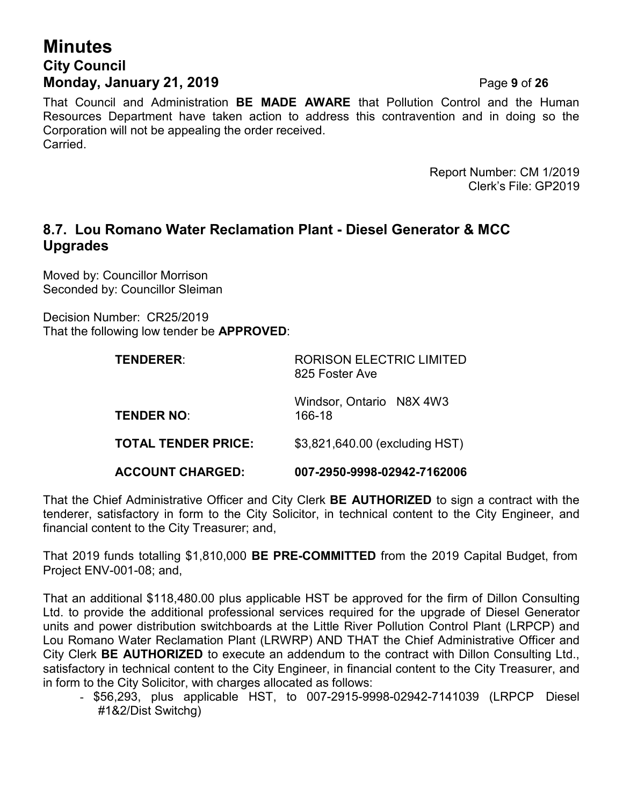# **Minutes City Council Monday, January 21, 2019** Page **9** of **26**

That Council and Administration **BE MADE AWARE** that Pollution Control and the Human Resources Department have taken action to address this contravention and in doing so the Corporation will not be appealing the order received. Carried.

> Report Number: CM 1/2019 Clerk's File: GP2019

### **8.7. Lou Romano Water Reclamation Plant - Diesel Generator & MCC Upgrades**

Moved by: Councillor Morrison Seconded by: Councillor Sleiman

Decision Number: CR25/2019 That the following low tender be **APPROVED**:

| <b>TENDERER:</b>           | <b>RORISON ELECTRIC LIMITED</b><br>825 Foster Ave |  |
|----------------------------|---------------------------------------------------|--|
| <b>TENDER NO:</b>          | Windsor, Ontario N8X 4W3<br>166-18                |  |
| <b>TOTAL TENDER PRICE:</b> | \$3,821,640.00 (excluding HST)                    |  |
| <b>ACCOUNT CHARGED:</b>    | 007-2950-9998-02942-7162006                       |  |

That the Chief Administrative Officer and City Clerk **BE AUTHORIZED** to sign a contract with the tenderer, satisfactory in form to the City Solicitor, in technical content to the City Engineer, and financial content to the City Treasurer; and,

That 2019 funds totalling \$1,810,000 **BE PRE-COMMITTED** from the 2019 Capital Budget, from Project ENV-001-08; and,

That an additional \$118,480.00 plus applicable HST be approved for the firm of Dillon Consulting Ltd. to provide the additional professional services required for the upgrade of Diesel Generator units and power distribution switchboards at the Little River Pollution Control Plant (LRPCP) and Lou Romano Water Reclamation Plant (LRWRP) AND THAT the Chief Administrative Officer and City Clerk **BE AUTHORIZED** to execute an addendum to the contract with Dillon Consulting Ltd., satisfactory in technical content to the City Engineer, in financial content to the City Treasurer, and in form to the City Solicitor, with charges allocated as follows:

- \$56,293, plus applicable HST, to 007-2915-9998-02942-7141039 (LRPCP Diesel #1&2/Dist Switchg)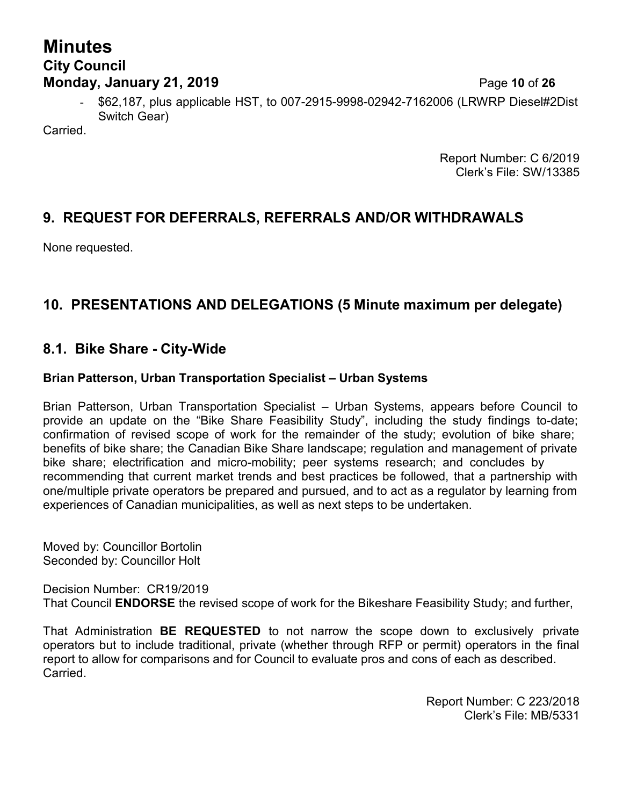# **Minutes City Council Monday, January 21, 2019 Page 10 of 26**

- \$62,187, plus applicable HST, to 007-2915-9998-02942-7162006 (LRWRP Diesel#2Dist Switch Gear)

Carried.

Report Number: C 6/2019 Clerk's File: SW/13385

### **9. REQUEST FOR DEFERRALS, REFERRALS AND/OR WITHDRAWALS**

None requested.

### **10. PRESENTATIONS AND DELEGATIONS (5 Minute maximum per delegate)**

### **8.1. Bike Share - City-Wide**

#### **Brian Patterson, Urban Transportation Specialist – Urban Systems**

Brian Patterson, Urban Transportation Specialist – Urban Systems, appears before Council to provide an update on the "Bike Share Feasibility Study", including the study findings to-date; confirmation of revised scope of work for the remainder of the study; evolution of bike share; benefits of bike share; the Canadian Bike Share landscape; regulation and management of private bike share; electrification and micro-mobility; peer systems research; and concludes by recommending that current market trends and best practices be followed, that a partnership with one/multiple private operators be prepared and pursued, and to act as a regulator by learning from experiences of Canadian municipalities, as well as next steps to be undertaken.

Moved by: Councillor Bortolin Seconded by: Councillor Holt

Decision Number: CR19/2019 That Council **ENDORSE** the revised scope of work for the Bikeshare Feasibility Study; and further,

That Administration **BE REQUESTED** to not narrow the scope down to exclusively private operators but to include traditional, private (whether through RFP or permit) operators in the final report to allow for comparisons and for Council to evaluate pros and cons of each as described. Carried.

> Report Number: C 223/2018 Clerk's File: MB/5331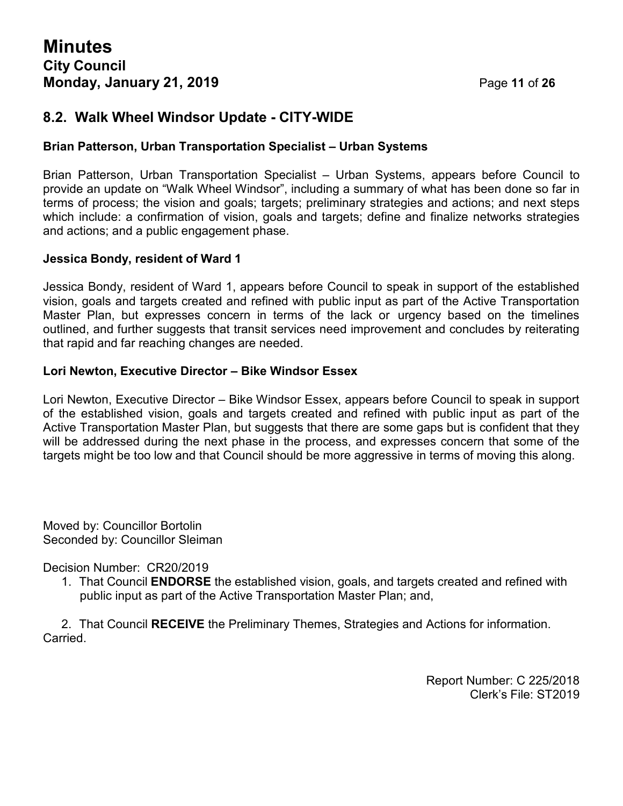### **8.2. Walk Wheel Windsor Update - CITY-WIDE**

#### **Brian Patterson, Urban Transportation Specialist – Urban Systems**

Brian Patterson, Urban Transportation Specialist – Urban Systems, appears before Council to provide an update on "Walk Wheel Windsor", including a summary of what has been done so far in terms of process; the vision and goals; targets; preliminary strategies and actions; and next steps which include: a confirmation of vision, goals and targets; define and finalize networks strategies and actions; and a public engagement phase.

#### **Jessica Bondy, resident of Ward 1**

Jessica Bondy, resident of Ward 1, appears before Council to speak in support of the established vision, goals and targets created and refined with public input as part of the Active Transportation Master Plan, but expresses concern in terms of the lack or urgency based on the timelines outlined, and further suggests that transit services need improvement and concludes by reiterating that rapid and far reaching changes are needed.

#### **Lori Newton, Executive Director – Bike Windsor Essex**

Lori Newton, Executive Director – Bike Windsor Essex, appears before Council to speak in support of the established vision, goals and targets created and refined with public input as part of the Active Transportation Master Plan, but suggests that there are some gaps but is confident that they will be addressed during the next phase in the process, and expresses concern that some of the targets might be too low and that Council should be more aggressive in terms of moving this along.

Moved by: Councillor Bortolin Seconded by: Councillor Sleiman

Decision Number: CR20/2019

1. That Council **ENDORSE** the established vision, goals, and targets created and refined with public input as part of the Active Transportation Master Plan; and,

2. That Council **RECEIVE** the Preliminary Themes, Strategies and Actions for information. Carried.

> Report Number: C 225/2018 Clerk's File: ST2019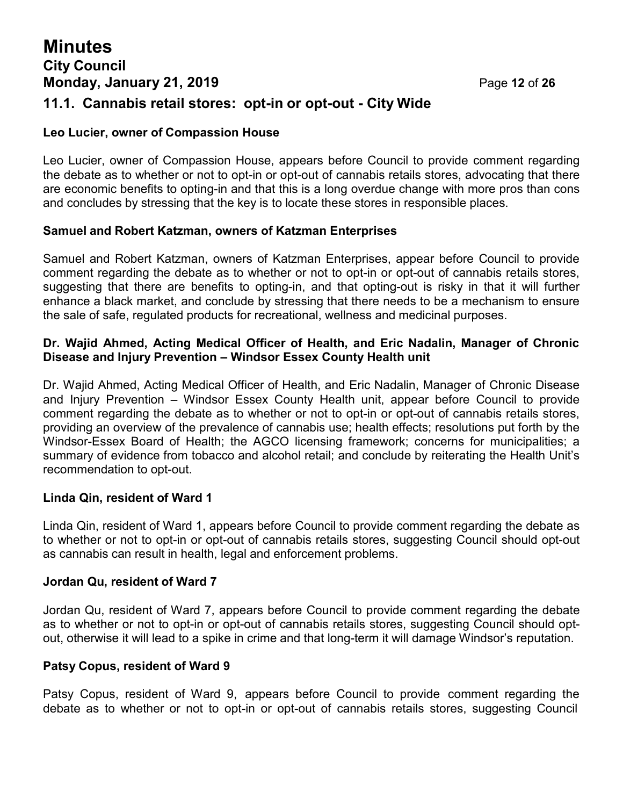# **Minutes City Council Monday, January 21, 2019 Page 12 of 26 11.1. Cannabis retail stores: opt-in or opt-out - City Wide**

# **Leo Lucier, owner of Compassion House**

Leo Lucier, owner of Compassion House, appears before Council to provide comment regarding the debate as to whether or not to opt-in or opt-out of cannabis retails stores, advocating that there are economic benefits to opting-in and that this is a long overdue change with more pros than cons and concludes by stressing that the key is to locate these stores in responsible places.

#### **Samuel and Robert Katzman, owners of Katzman Enterprises**

Samuel and Robert Katzman, owners of Katzman Enterprises, appear before Council to provide comment regarding the debate as to whether or not to opt-in or opt-out of cannabis retails stores, suggesting that there are benefits to opting-in, and that opting-out is risky in that it will further enhance a black market, and conclude by stressing that there needs to be a mechanism to ensure the sale of safe, regulated products for recreational, wellness and medicinal purposes.

#### **Dr. Wajid Ahmed, Acting Medical Officer of Health, and Eric Nadalin, Manager of Chronic Disease and Injury Prevention – Windsor Essex County Health unit**

Dr. Wajid Ahmed, Acting Medical Officer of Health, and Eric Nadalin, Manager of Chronic Disease and Injury Prevention – Windsor Essex County Health unit, appear before Council to provide comment regarding the debate as to whether or not to opt-in or opt-out of cannabis retails stores, providing an overview of the prevalence of cannabis use; health effects; resolutions put forth by the Windsor-Essex Board of Health; the AGCO licensing framework; concerns for municipalities; a summary of evidence from tobacco and alcohol retail; and conclude by reiterating the Health Unit's recommendation to opt-out.

#### **Linda Qin, resident of Ward 1**

Linda Qin, resident of Ward 1, appears before Council to provide comment regarding the debate as to whether or not to opt-in or opt-out of cannabis retails stores, suggesting Council should opt-out as cannabis can result in health, legal and enforcement problems.

#### **Jordan Qu, resident of Ward 7**

Jordan Qu, resident of Ward 7, appears before Council to provide comment regarding the debate as to whether or not to opt-in or opt-out of cannabis retails stores, suggesting Council should optout, otherwise it will lead to a spike in crime and that long-term it will damage Windsor's reputation.

#### **Patsy Copus, resident of Ward 9**

Patsy Copus, resident of Ward 9, appears before Council to provide comment regarding the debate as to whether or not to opt-in or opt-out of cannabis retails stores, suggesting Council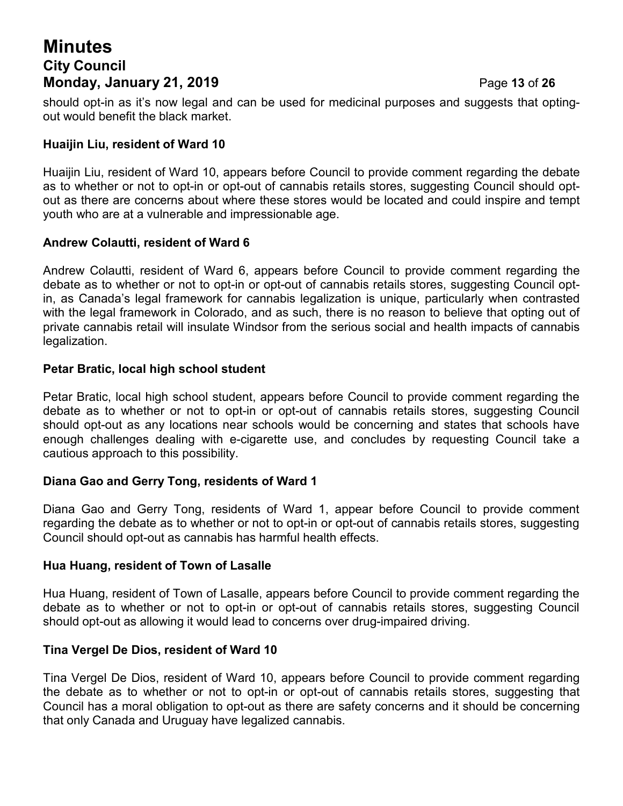# **Minutes City Council Monday, January 21, 2019 Page 13 of 26**

should opt-in as it's now legal and can be used for medicinal purposes and suggests that optingout would benefit the black market.

#### **Huaijin Liu, resident of Ward 10**

Huaijin Liu, resident of Ward 10, appears before Council to provide comment regarding the debate as to whether or not to opt-in or opt-out of cannabis retails stores, suggesting Council should optout as there are concerns about where these stores would be located and could inspire and tempt youth who are at a vulnerable and impressionable age.

#### **Andrew Colautti, resident of Ward 6**

Andrew Colautti, resident of Ward 6, appears before Council to provide comment regarding the debate as to whether or not to opt-in or opt-out of cannabis retails stores, suggesting Council optin, as Canada's legal framework for cannabis legalization is unique, particularly when contrasted with the legal framework in Colorado, and as such, there is no reason to believe that opting out of private cannabis retail will insulate Windsor from the serious social and health impacts of cannabis legalization.

#### **Petar Bratic, local high school student**

Petar Bratic, local high school student, appears before Council to provide comment regarding the debate as to whether or not to opt-in or opt-out of cannabis retails stores, suggesting Council should opt-out as any locations near schools would be concerning and states that schools have enough challenges dealing with e-cigarette use, and concludes by requesting Council take a cautious approach to this possibility.

#### **Diana Gao and Gerry Tong, residents of Ward 1**

Diana Gao and Gerry Tong, residents of Ward 1, appear before Council to provide comment regarding the debate as to whether or not to opt-in or opt-out of cannabis retails stores, suggesting Council should opt-out as cannabis has harmful health effects.

#### **Hua Huang, resident of Town of Lasalle**

Hua Huang, resident of Town of Lasalle, appears before Council to provide comment regarding the debate as to whether or not to opt-in or opt-out of cannabis retails stores, suggesting Council should opt-out as allowing it would lead to concerns over drug-impaired driving.

#### **Tina Vergel De Dios, resident of Ward 10**

Tina Vergel De Dios, resident of Ward 10, appears before Council to provide comment regarding the debate as to whether or not to opt-in or opt-out of cannabis retails stores, suggesting that Council has a moral obligation to opt-out as there are safety concerns and it should be concerning that only Canada and Uruguay have legalized cannabis.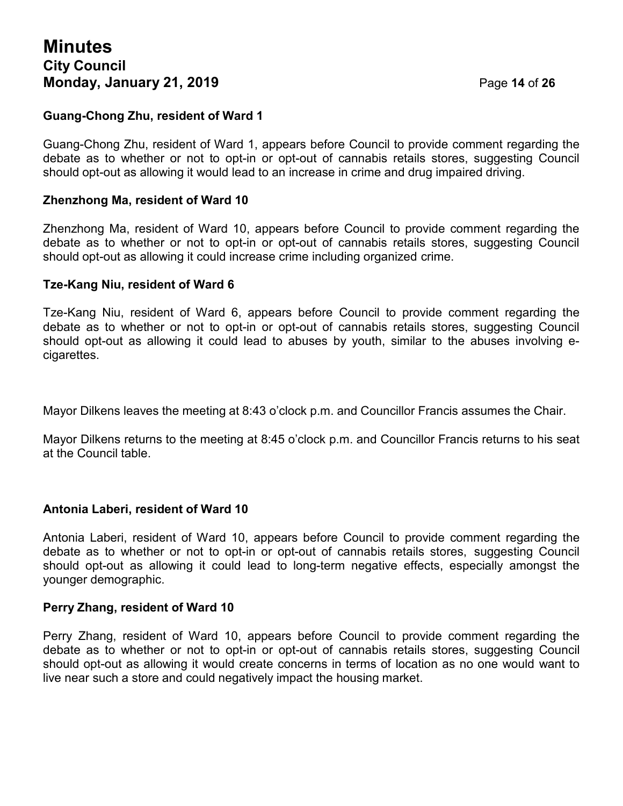# **Minutes City Council Monday, January 21, 2019 Page 14 of 26**

#### **Guang-Chong Zhu, resident of Ward 1**

Guang-Chong Zhu, resident of Ward 1, appears before Council to provide comment regarding the debate as to whether or not to opt-in or opt-out of cannabis retails stores, suggesting Council should opt-out as allowing it would lead to an increase in crime and drug impaired driving.

#### **Zhenzhong Ma, resident of Ward 10**

Zhenzhong Ma, resident of Ward 10, appears before Council to provide comment regarding the debate as to whether or not to opt-in or opt-out of cannabis retails stores, suggesting Council should opt-out as allowing it could increase crime including organized crime.

#### **Tze-Kang Niu, resident of Ward 6**

Tze-Kang Niu, resident of Ward 6, appears before Council to provide comment regarding the debate as to whether or not to opt-in or opt-out of cannabis retails stores, suggesting Council should opt-out as allowing it could lead to abuses by youth, similar to the abuses involving ecigarettes.

Mayor Dilkens leaves the meeting at 8:43 o'clock p.m. and Councillor Francis assumes the Chair.

Mayor Dilkens returns to the meeting at 8:45 o'clock p.m. and Councillor Francis returns to his seat at the Council table.

#### **Antonia Laberi, resident of Ward 10**

Antonia Laberi, resident of Ward 10, appears before Council to provide comment regarding the debate as to whether or not to opt-in or opt-out of cannabis retails stores, suggesting Council should opt-out as allowing it could lead to long-term negative effects, especially amongst the younger demographic.

#### **Perry Zhang, resident of Ward 10**

Perry Zhang, resident of Ward 10, appears before Council to provide comment regarding the debate as to whether or not to opt-in or opt-out of cannabis retails stores, suggesting Council should opt-out as allowing it would create concerns in terms of location as no one would want to live near such a store and could negatively impact the housing market.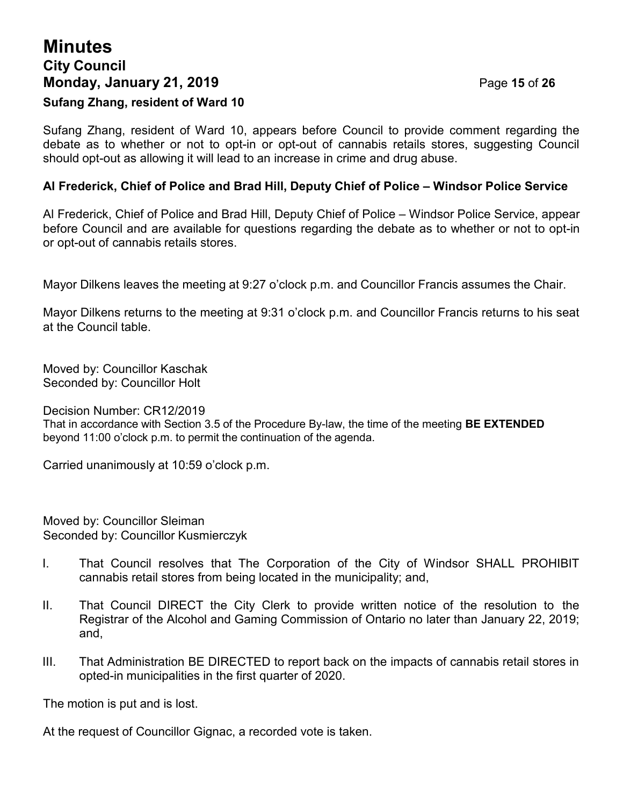# **Minutes City Council Monday, January 21, 2019 Page 15 of 26 Sufang Zhang, resident of Ward 10**

Sufang Zhang, resident of Ward 10, appears before Council to provide comment regarding the debate as to whether or not to opt-in or opt-out of cannabis retails stores, suggesting Council should opt-out as allowing it will lead to an increase in crime and drug abuse.

#### **Al Frederick, Chief of Police and Brad Hill, Deputy Chief of Police – Windsor Police Service**

Al Frederick, Chief of Police and Brad Hill, Deputy Chief of Police – Windsor Police Service, appear before Council and are available for questions regarding the debate as to whether or not to opt-in or opt-out of cannabis retails stores.

Mayor Dilkens leaves the meeting at 9:27 o'clock p.m. and Councillor Francis assumes the Chair.

Mayor Dilkens returns to the meeting at 9:31 o'clock p.m. and Councillor Francis returns to his seat at the Council table.

Moved by: Councillor Kaschak Seconded by: Councillor Holt

Decision Number: CR12/2019

That in accordance with Section 3.5 of the Procedure By-law, the time of the meeting **BE EXTENDED** beyond 11:00 o'clock p.m. to permit the continuation of the agenda.

Carried unanimously at 10:59 o'clock p.m.

Moved by: Councillor Sleiman Seconded by: Councillor Kusmierczyk

- I. That Council resolves that The Corporation of the City of Windsor SHALL PROHIBIT cannabis retail stores from being located in the municipality; and,
- II. That Council DIRECT the City Clerk to provide written notice of the resolution to the Registrar of the Alcohol and Gaming Commission of Ontario no later than January 22, 2019; and,
- III. That Administration BE DIRECTED to report back on the impacts of cannabis retail stores in opted-in municipalities in the first quarter of 2020.

The motion is put and is lost.

At the request of Councillor Gignac, a recorded vote is taken.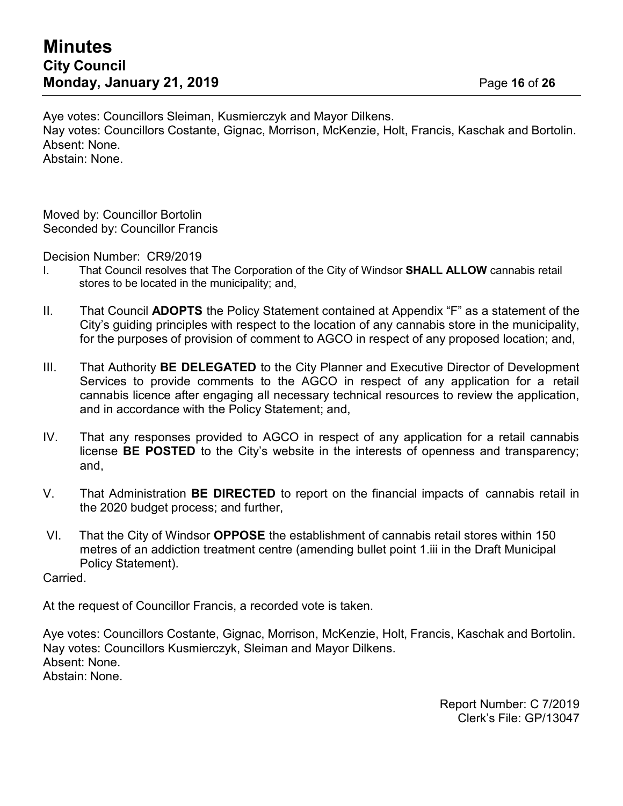Aye votes: Councillors Sleiman, Kusmierczyk and Mayor Dilkens. Nay votes: Councillors Costante, Gignac, Morrison, McKenzie, Holt, Francis, Kaschak and Bortolin. Absent: None. Abstain: None.

Moved by: Councillor Bortolin Seconded by: Councillor Francis

Decision Number: CR9/2019

- I. That Council resolves that The Corporation of the City of Windsor **SHALL ALLOW** cannabis retail stores to be located in the municipality; and,
- II. That Council **ADOPTS** the Policy Statement contained at Appendix "F" as a statement of the City's guiding principles with respect to the location of any cannabis store in the municipality, for the purposes of provision of comment to AGCO in respect of any proposed location; and,
- III. That Authority **BE DELEGATED** to the City Planner and Executive Director of Development Services to provide comments to the AGCO in respect of any application for a retail cannabis licence after engaging all necessary technical resources to review the application, and in accordance with the Policy Statement; and,
- IV. That any responses provided to AGCO in respect of any application for a retail cannabis license **BE POSTED** to the City's website in the interests of openness and transparency; and,
- V. That Administration **BE DIRECTED** to report on the financial impacts of cannabis retail in the 2020 budget process; and further,
- VI. That the City of Windsor **OPPOSE** the establishment of cannabis retail stores within 150 metres of an addiction treatment centre (amending bullet point 1.iii in the Draft Municipal Policy Statement).

Carried.

At the request of Councillor Francis, a recorded vote is taken.

Aye votes: Councillors Costante, Gignac, Morrison, McKenzie, Holt, Francis, Kaschak and Bortolin. Nay votes: Councillors Kusmierczyk, Sleiman and Mayor Dilkens. Absent: None. Abstain: None.

> Report Number: C 7/2019 Clerk's File: GP/13047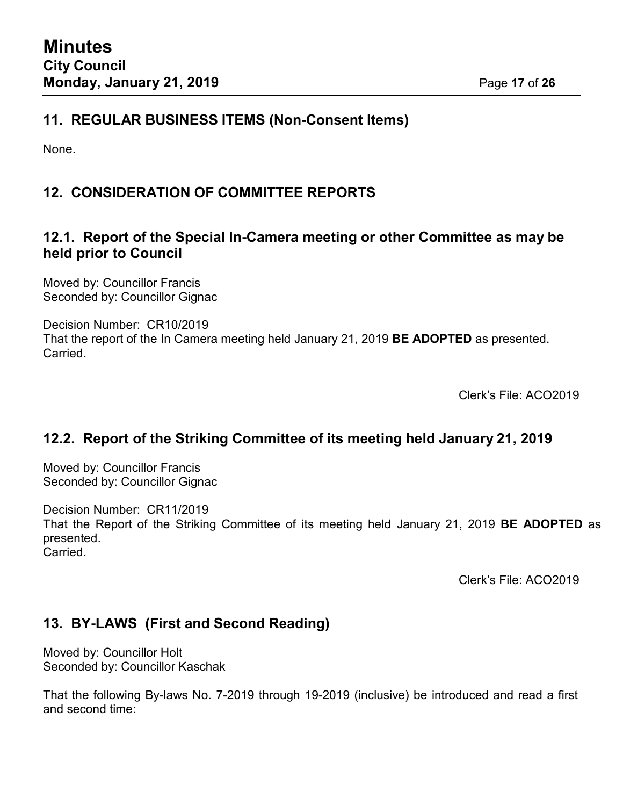### **11. REGULAR BUSINESS ITEMS (Non-Consent Items)**

None.

# **12. CONSIDERATION OF COMMITTEE REPORTS**

### **12.1. Report of the Special In-Camera meeting or other Committee as may be held prior to Council**

Moved by: Councillor Francis Seconded by: Councillor Gignac

Decision Number: CR10/2019 That the report of the In Camera meeting held January 21, 2019 **BE ADOPTED** as presented. Carried.

Clerk's File: ACO2019

### **12.2. Report of the Striking Committee of its meeting held January 21, 2019**

Moved by: Councillor Francis Seconded by: Councillor Gignac

Decision Number: CR11/2019

That the Report of the Striking Committee of its meeting held January 21, 2019 **BE ADOPTED** as presented. Carried.

Clerk's File: ACO2019

### **13. BY-LAWS (First and Second Reading)**

Moved by: Councillor Holt Seconded by: Councillor Kaschak

That the following By-laws No. 7-2019 through 19-2019 (inclusive) be introduced and read a first and second time: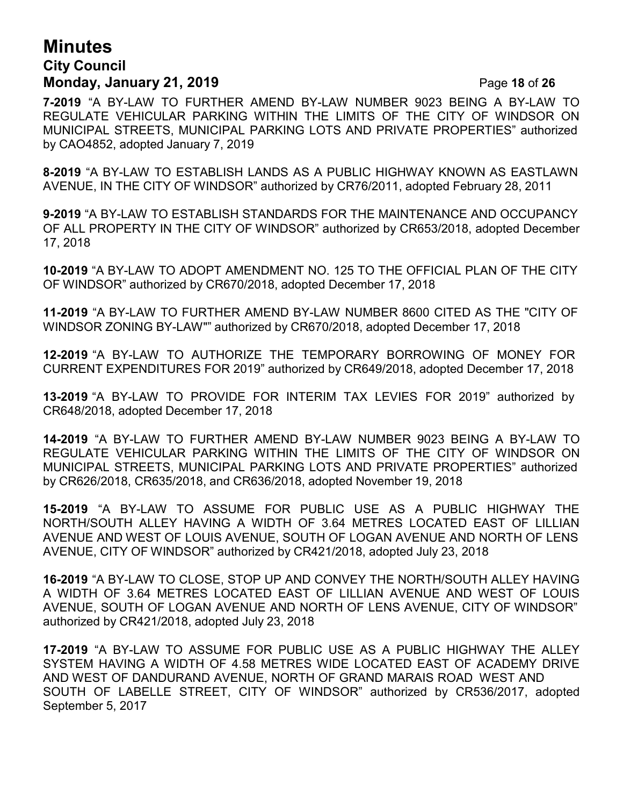# **Minutes City Council Monday, January 21, 2019 Page 18 of 26**

**7-2019** "A BY-LAW TO FURTHER AMEND BY-LAW NUMBER 9023 BEING A BY-LAW TO REGULATE VEHICULAR PARKING WITHIN THE LIMITS OF THE CITY OF WINDSOR ON MUNICIPAL STREETS, MUNICIPAL PARKING LOTS AND PRIVATE PROPERTIES" authorized by CAO4852, adopted January 7, 2019

**8-2019** "A BY-LAW TO ESTABLISH LANDS AS A PUBLIC HIGHWAY KNOWN AS EASTLAWN AVENUE, IN THE CITY OF WINDSOR" authorized by CR76/2011, adopted February 28, 2011

**9-2019** "A BY-LAW TO ESTABLISH STANDARDS FOR THE MAINTENANCE AND OCCUPANCY OF ALL PROPERTY IN THE CITY OF WINDSOR" authorized by CR653/2018, adopted December 17, 2018

**10-2019** "A BY-LAW TO ADOPT AMENDMENT NO. 125 TO THE OFFICIAL PLAN OF THE CITY OF WINDSOR" authorized by CR670/2018, adopted December 17, 2018

**11-2019** "A BY-LAW TO FURTHER AMEND BY-LAW NUMBER 8600 CITED AS THE "CITY OF WINDSOR ZONING BY-LAW"" authorized by CR670/2018, adopted December 17, 2018

**12-2019** "A BY-LAW TO AUTHORIZE THE TEMPORARY BORROWING OF MONEY FOR CURRENT EXPENDITURES FOR 2019" authorized by CR649/2018, adopted December 17, 2018

**13-2019** "A BY-LAW TO PROVIDE FOR INTERIM TAX LEVIES FOR 2019" authorized by CR648/2018, adopted December 17, 2018

**14-2019** "A BY-LAW TO FURTHER AMEND BY-LAW NUMBER 9023 BEING A BY-LAW TO REGULATE VEHICULAR PARKING WITHIN THE LIMITS OF THE CITY OF WINDSOR ON MUNICIPAL STREETS, MUNICIPAL PARKING LOTS AND PRIVATE PROPERTIES" authorized by CR626/2018, CR635/2018, and CR636/2018, adopted November 19, 2018

**15-2019** "A BY-LAW TO ASSUME FOR PUBLIC USE AS A PUBLIC HIGHWAY THE NORTH/SOUTH ALLEY HAVING A WIDTH OF 3.64 METRES LOCATED EAST OF LILLIAN AVENUE AND WEST OF LOUIS AVENUE, SOUTH OF LOGAN AVENUE AND NORTH OF LENS AVENUE, CITY OF WINDSOR" authorized by CR421/2018, adopted July 23, 2018

**16-2019** "A BY-LAW TO CLOSE, STOP UP AND CONVEY THE NORTH/SOUTH ALLEY HAVING A WIDTH OF 3.64 METRES LOCATED EAST OF LILLIAN AVENUE AND WEST OF LOUIS AVENUE, SOUTH OF LOGAN AVENUE AND NORTH OF LENS AVENUE, CITY OF WINDSOR" authorized by CR421/2018, adopted July 23, 2018

**17-2019** "A BY-LAW TO ASSUME FOR PUBLIC USE AS A PUBLIC HIGHWAY THE ALLEY SYSTEM HAVING A WIDTH OF 4.58 METRES WIDE LOCATED EAST OF ACADEMY DRIVE AND WEST OF DANDURAND AVENUE, NORTH OF GRAND MARAIS ROAD WEST AND SOUTH OF LABELLE STREET, CITY OF WINDSOR" authorized by CR536/2017, adopted September 5, 2017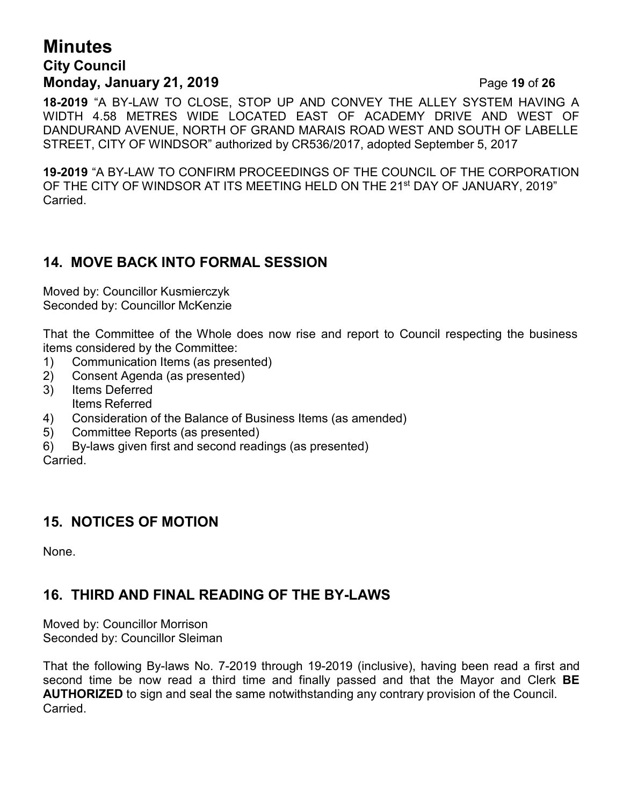# **Minutes City Council Monday, January 21, 2019 Page 19 of 26**

**18-2019** "A BY-LAW TO CLOSE, STOP UP AND CONVEY THE ALLEY SYSTEM HAVING A WIDTH 4.58 METRES WIDE LOCATED EAST OF ACADEMY DRIVE AND WEST OF DANDURAND AVENUE, NORTH OF GRAND MARAIS ROAD WEST AND SOUTH OF LABELLE STREET, CITY OF WINDSOR" authorized by CR536/2017, adopted September 5, 2017

**19-2019** "A BY-LAW TO CONFIRM PROCEEDINGS OF THE COUNCIL OF THE CORPORATION OF THE CITY OF WINDSOR AT ITS MEETING HELD ON THE 21<sup>st</sup> DAY OF JANUARY, 2019" Carried.

# **14. MOVE BACK INTO FORMAL SESSION**

Moved by: Councillor Kusmierczyk Seconded by: Councillor McKenzie

That the Committee of the Whole does now rise and report to Council respecting the business items considered by the Committee:

- 1) Communication Items (as presented)
- 2) Consent Agenda (as presented)
- 3) Items Deferred Items Referred
- 4) Consideration of the Balance of Business Items (as amended)
- 5) Committee Reports (as presented)
- 6) By-laws given first and second readings (as presented)

Carried.

### **15. NOTICES OF MOTION**

None.

# **16. THIRD AND FINAL READING OF THE BY-LAWS**

Moved by: Councillor Morrison Seconded by: Councillor Sleiman

That the following By-laws No. 7-2019 through 19-2019 (inclusive), having been read a first and second time be now read a third time and finally passed and that the Mayor and Clerk **BE AUTHORIZED** to sign and seal the same notwithstanding any contrary provision of the Council. Carried.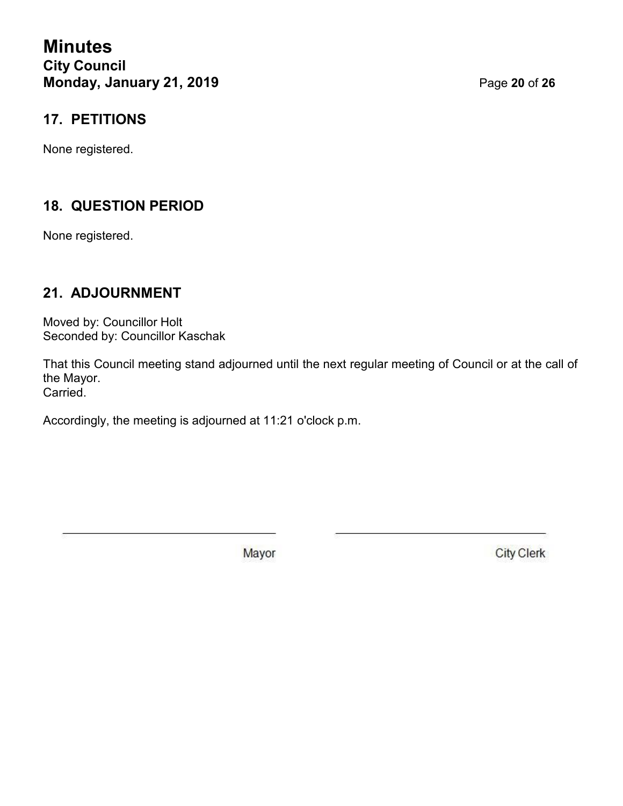**Minutes City Council Monday, January 21, 2019 Page 20 of 26** 

### **17. PETITIONS**

None registered.

# **18. QUESTION PERIOD**

None registered.

### **21. ADJOURNMENT**

Moved by: Councillor Holt Seconded by: Councillor Kaschak

That this Council meeting stand adjourned until the next regular meeting of Council or at the call of the Mayor. Carried.

Accordingly, the meeting is adjourned at 11:21 o'clock p.m.

Mayor

**City Clerk**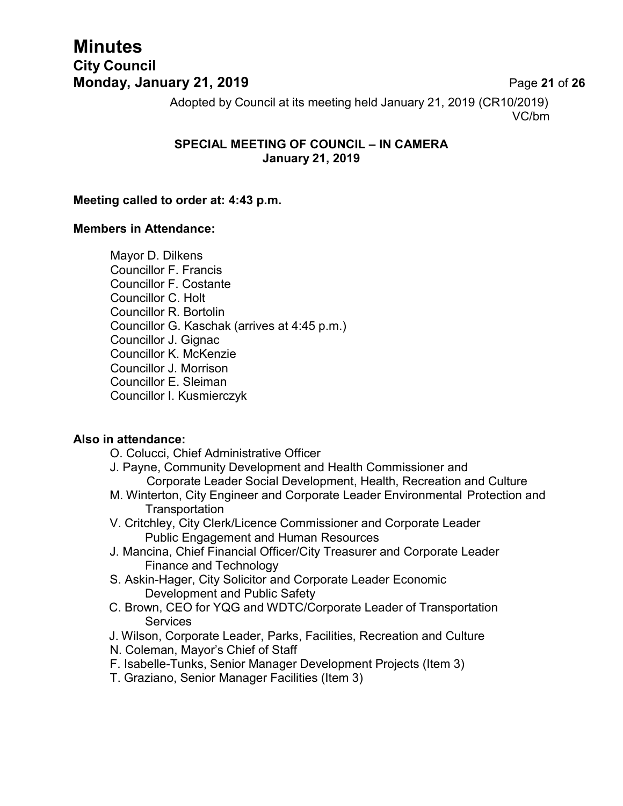# **Minutes City Council Monday, January 21, 2019 Page 21 of 26**

Adopted by Council at its meeting held January 21, 2019 (CR10/2019) VC/bm

### **SPECIAL MEETING OF COUNCIL – IN CAMERA January 21, 2019**

#### **Meeting called to order at: 4:43 p.m.**

#### **Members in Attendance:**

Mayor D. Dilkens Councillor F. Francis Councillor F. Costante Councillor C. Holt Councillor R. Bortolin Councillor G. Kaschak (arrives at 4:45 p.m.) Councillor J. Gignac Councillor K. McKenzie Councillor J. Morrison Councillor E. Sleiman Councillor I. Kusmierczyk

#### **Also in attendance:**

- O. Colucci, Chief Administrative Officer
- J. Payne, Community Development and Health Commissioner and Corporate Leader Social Development, Health, Recreation and Culture
- M. Winterton, City Engineer and Corporate Leader Environmental Protection and **Transportation**
- V. Critchley, City Clerk/Licence Commissioner and Corporate Leader Public Engagement and Human Resources
- J. Mancina, Chief Financial Officer/City Treasurer and Corporate Leader Finance and Technology
- S. Askin-Hager, City Solicitor and Corporate Leader Economic Development and Public Safety
- C. Brown, CEO for YQG and WDTC/Corporate Leader of Transportation **Services**
- J. Wilson, Corporate Leader, Parks, Facilities, Recreation and Culture
- N. Coleman, Mayor's Chief of Staff
- F. Isabelle-Tunks, Senior Manager Development Projects (Item 3)
- T. Graziano, Senior Manager Facilities (Item 3)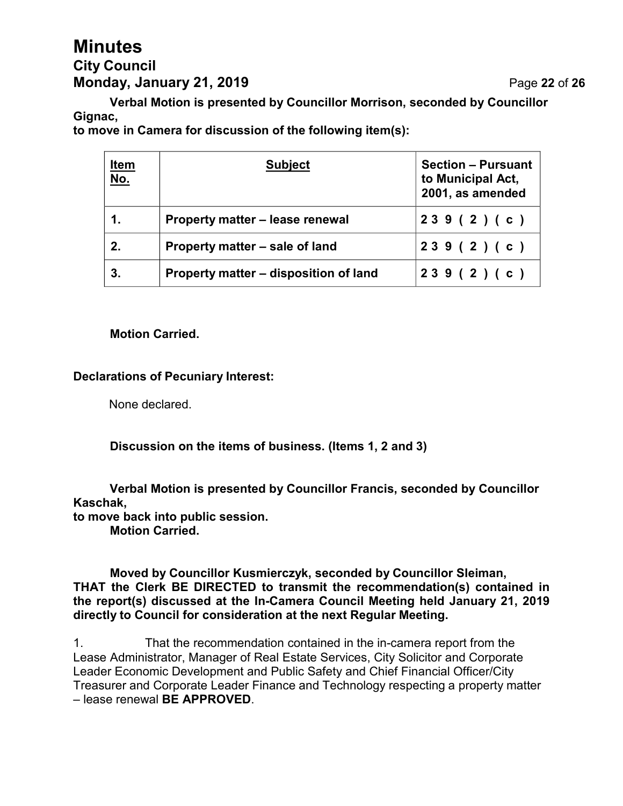# **Minutes City Council Monday, January 21, 2019 Page 22 of 26**

**Verbal Motion is presented by Councillor Morrison, seconded by Councillor Gignac,**

**to move in Camera for discussion of the following item(s):**

| <u>Item</u><br><u>No.</u> | <b>Subject</b>                        | <b>Section - Pursuant</b><br>to Municipal Act,<br>2001, as amended |
|---------------------------|---------------------------------------|--------------------------------------------------------------------|
| 1.                        | Property matter - lease renewal       | 239(2)(c)                                                          |
| 2.                        | Property matter – sale of land        | 239(2)(c)                                                          |
| 3.                        | Property matter – disposition of land | 239(2)(c)                                                          |

#### **Motion Carried.**

#### **Declarations of Pecuniary Interest:**

None declared.

**Discussion on the items of business. (Items 1, 2 and 3)**

**Verbal Motion is presented by Councillor Francis, seconded by Councillor Kaschak,**

**to move back into public session.**

**Motion Carried.**

**Moved by Councillor Kusmierczyk, seconded by Councillor Sleiman, THAT the Clerk BE DIRECTED to transmit the recommendation(s) contained in the report(s) discussed at the In-Camera Council Meeting held January 21, 2019 directly to Council for consideration at the next Regular Meeting.**

1. That the recommendation contained in the in-camera report from the Lease Administrator, Manager of Real Estate Services, City Solicitor and Corporate Leader Economic Development and Public Safety and Chief Financial Officer/City Treasurer and Corporate Leader Finance and Technology respecting a property matter – lease renewal **BE APPROVED**.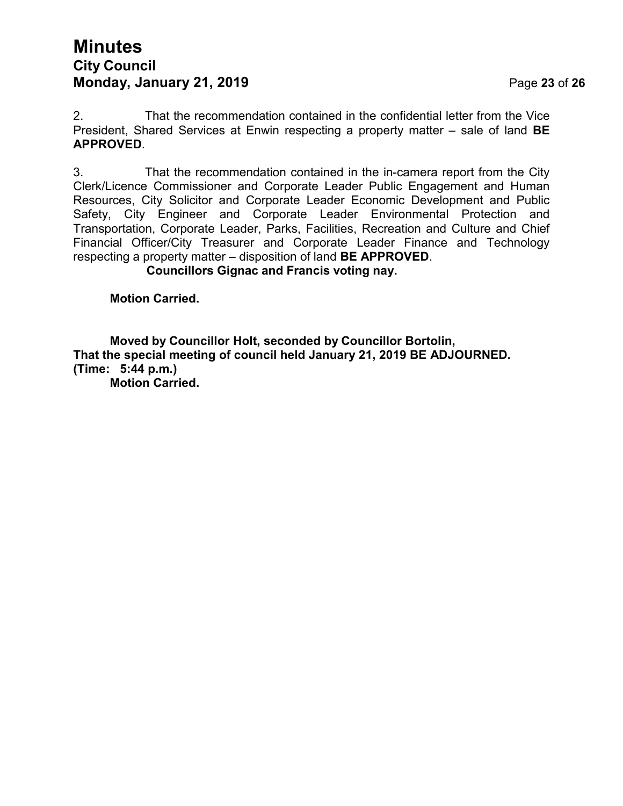# **Minutes City Council Monday, January 21, 2019 Page 23 of 26**

2. That the recommendation contained in the confidential letter from the Vice President, Shared Services at Enwin respecting a property matter – sale of land **BE APPROVED**.

3. That the recommendation contained in the in-camera report from the City Clerk/Licence Commissioner and Corporate Leader Public Engagement and Human Resources, City Solicitor and Corporate Leader Economic Development and Public Safety, City Engineer and Corporate Leader Environmental Protection and Transportation, Corporate Leader, Parks, Facilities, Recreation and Culture and Chief Financial Officer/City Treasurer and Corporate Leader Finance and Technology respecting a property matter – disposition of land **BE APPROVED**.

**Councillors Gignac and Francis voting nay.**

**Motion Carried.**

**Moved by Councillor Holt, seconded by Councillor Bortolin, That the special meeting of council held January 21, 2019 BE ADJOURNED. (Time: 5:44 p.m.)**

**Motion Carried.**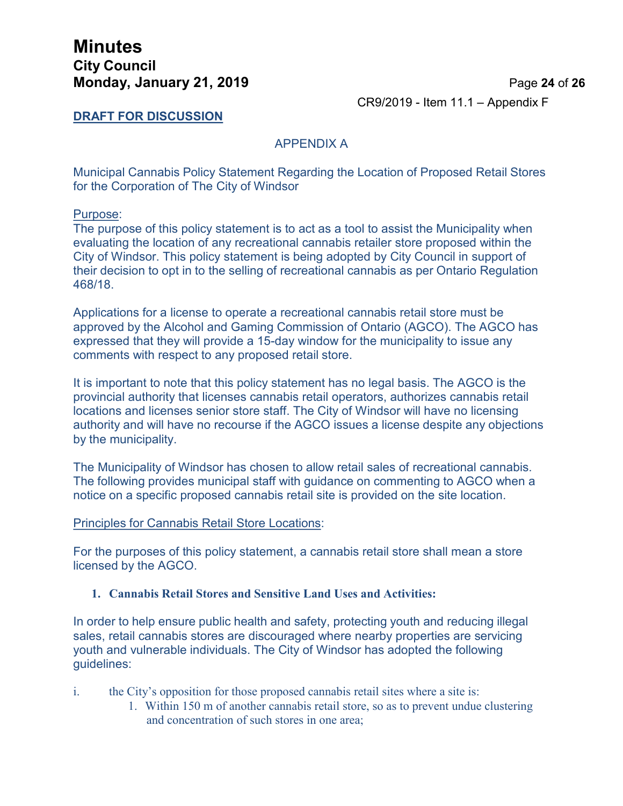## **Minutes City Council Monday, January 21, 2019 Page 24 of 26**

CR9/2019 - Item 11.1 – Appendix F

#### **DRAFT FOR DISCUSSION**

#### APPENDIX A

Municipal Cannabis Policy Statement Regarding the Location of Proposed Retail Stores for the Corporation of The City of Windsor

#### Purpose:

The purpose of this policy statement is to act as a tool to assist the Municipality when evaluating the location of any recreational cannabis retailer store proposed within the City of Windsor. This policy statement is being adopted by City Council in support of their decision to opt in to the selling of recreational cannabis as per Ontario Regulation 468/18.

Applications for a license to operate a recreational cannabis retail store must be approved by the Alcohol and Gaming Commission of Ontario (AGCO). The AGCO has expressed that they will provide a 15-day window for the municipality to issue any comments with respect to any proposed retail store.

It is important to note that this policy statement has no legal basis. The AGCO is the provincial authority that licenses cannabis retail operators, authorizes cannabis retail locations and licenses senior store staff. The City of Windsor will have no licensing authority and will have no recourse if the AGCO issues a license despite any objections by the municipality.

The Municipality of Windsor has chosen to allow retail sales of recreational cannabis. The following provides municipal staff with guidance on commenting to AGCO when a notice on a specific proposed cannabis retail site is provided on the site location.

#### Principles for Cannabis Retail Store Locations:

For the purposes of this policy statement, a cannabis retail store shall mean a store licensed by the AGCO.

#### **1. Cannabis Retail Stores and Sensitive Land Uses and Activities:**

In order to help ensure public health and safety, protecting youth and reducing illegal sales, retail cannabis stores are discouraged where nearby properties are servicing youth and vulnerable individuals. The City of Windsor has adopted the following guidelines:

- i. the City's opposition for those proposed cannabis retail sites where a site is:
	- 1. Within 150 m of another cannabis retail store, so as to prevent undue clustering and concentration of such stores in one area;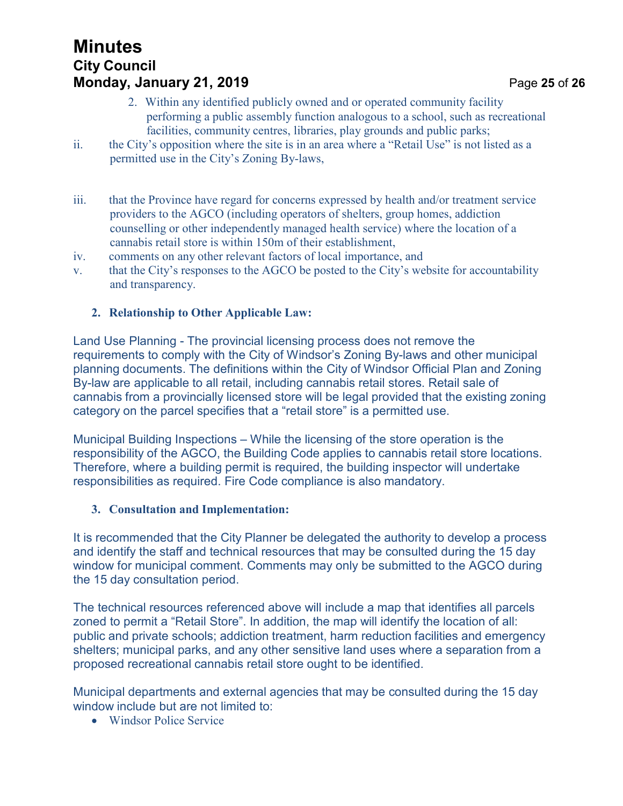# **Minutes City Council Monday, January 21, 2019 Page 25 of 26**

- 2. Within any identified publicly owned and or operated community facility performing a public assembly function analogous to a school, such as recreational facilities, community centres, libraries, play grounds and public parks;
- ii. the City's opposition where the site is in an area where a "Retail Use" is not listed as a permitted use in the City's Zoning By-laws,
- iii. that the Province have regard for concerns expressed by health and/or treatment service providers to the AGCO (including operators of shelters, group homes, addiction counselling or other independently managed health service) where the location of a cannabis retail store is within 150m of their establishment,
- iv. comments on any other relevant factors of local importance, and
- v. that the City's responses to the AGCO be posted to the City's website for accountability and transparency.

#### **2. Relationship to Other Applicable Law:**

Land Use Planning - The provincial licensing process does not remove the requirements to comply with the City of Windsor's Zoning By-laws and other municipal planning documents. The definitions within the City of Windsor Official Plan and Zoning By-law are applicable to all retail, including cannabis retail stores. Retail sale of cannabis from a provincially licensed store will be legal provided that the existing zoning category on the parcel specifies that a "retail store" is a permitted use.

Municipal Building Inspections – While the licensing of the store operation is the responsibility of the AGCO, the Building Code applies to cannabis retail store locations. Therefore, where a building permit is required, the building inspector will undertake responsibilities as required. Fire Code compliance is also mandatory.

#### **3. Consultation and Implementation:**

It is recommended that the City Planner be delegated the authority to develop a process and identify the staff and technical resources that may be consulted during the 15 day window for municipal comment. Comments may only be submitted to the AGCO during the 15 day consultation period.

The technical resources referenced above will include a map that identifies all parcels zoned to permit a "Retail Store". In addition, the map will identify the location of all: public and private schools; addiction treatment, harm reduction facilities and emergency shelters; municipal parks, and any other sensitive land uses where a separation from a proposed recreational cannabis retail store ought to be identified.

Municipal departments and external agencies that may be consulted during the 15 day window include but are not limited to:

• Windsor Police Service